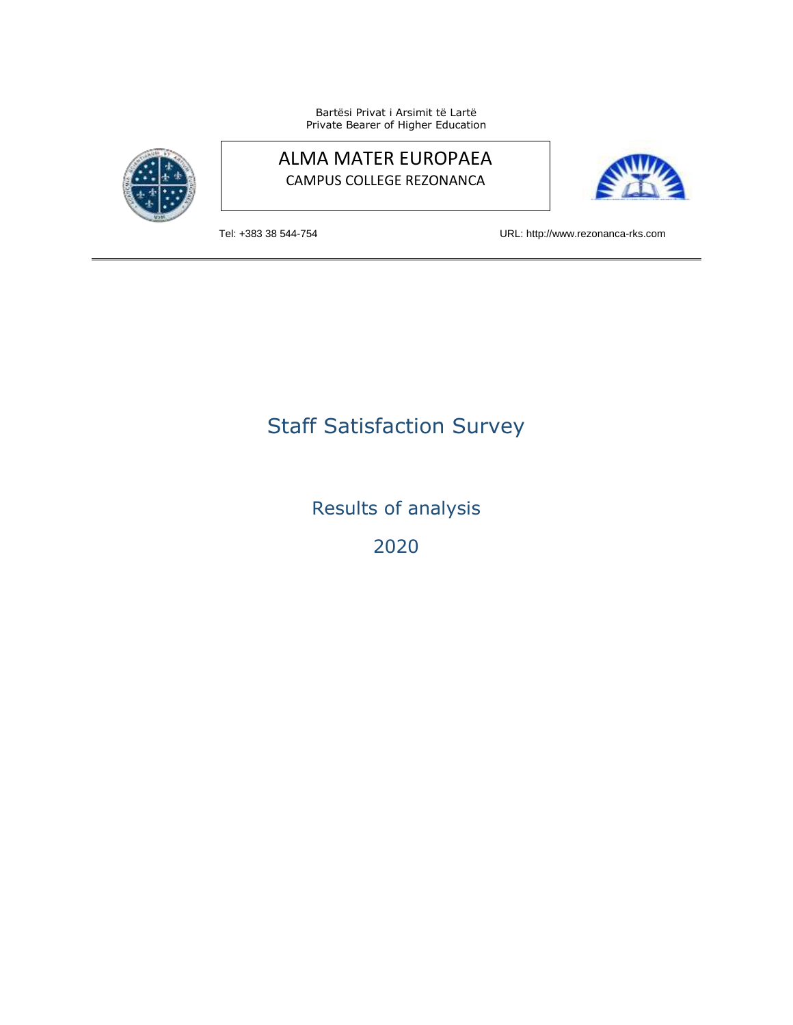Bartësi Privat i Arsimit të Lartë Private Bearer of Higher Education



## ALMA MATER EUROPAEA CAMPUS COLLEGE REZONANCA



Tel: +383 38 544-754 URL: http://www.rezonanca-rks.com

## Staff Satisfaction Survey

Results of analysis

2020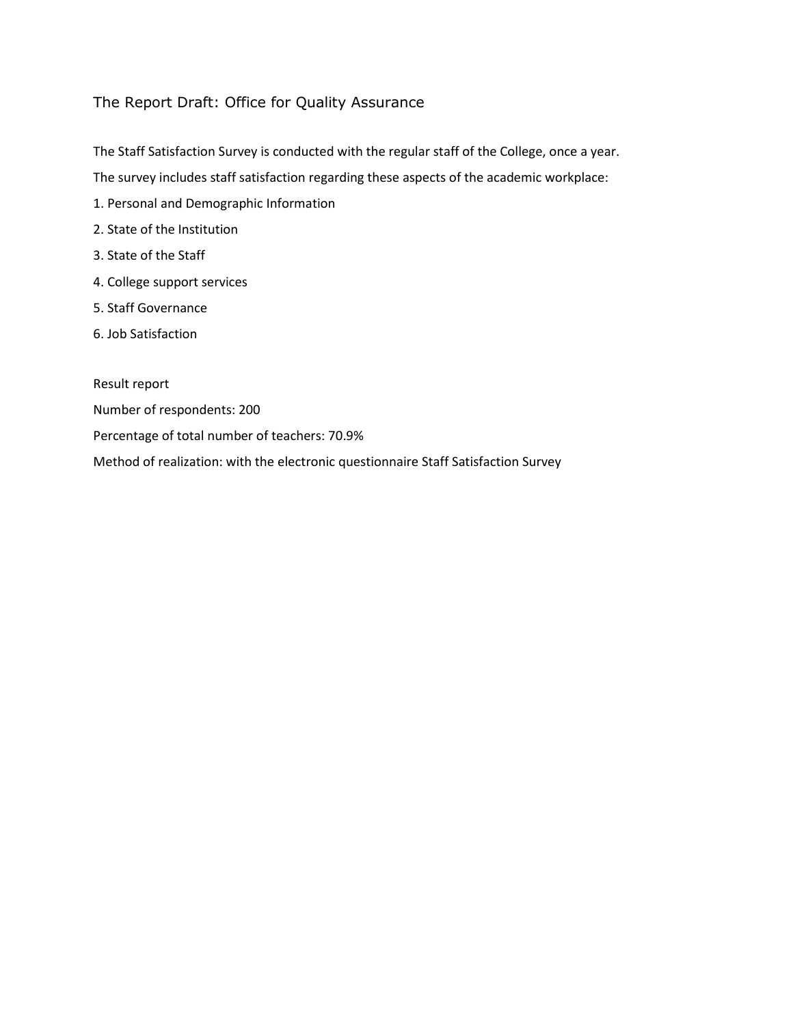## The Report Draft: Office for Quality Assurance

The Staff Satisfaction Survey is conducted with the regular staff of the College, once a year.

The survey includes staff satisfaction regarding these aspects of the academic workplace:

- 1. Personal and Demographic Information
- 2. State of the Institution
- 3. State of the Staff
- 4. College support services
- 5. Staff Governance
- 6. Job Satisfaction

Result report

- Number of respondents: 200
- Percentage of total number of teachers: 70.9%

Method of realization: with the electronic questionnaire Staff Satisfaction Survey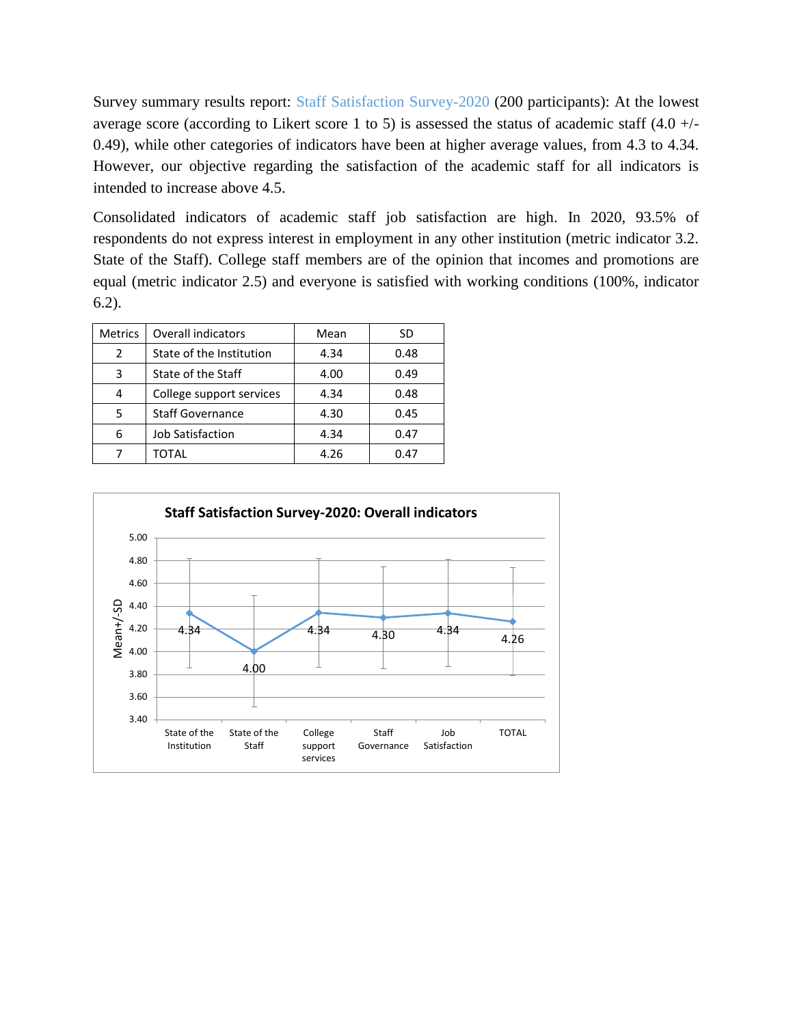Survey summary results report: Staff Satisfaction Survey-2020 (200 participants): At the lowest average score (according to Likert score 1 to 5) is assessed the status of academic staff  $(4.0 +/-$ 0.49), while other categories of indicators have been at higher average values, from 4.3 to 4.34. However, our objective regarding the satisfaction of the academic staff for all indicators is intended to increase above 4.5.

Consolidated indicators of academic staff job satisfaction are high. In 2020, 93.5% of respondents do not express interest in employment in any other institution (metric indicator 3.2. State of the Staff). College staff members are of the opinion that incomes and promotions are equal (metric indicator 2.5) and everyone is satisfied with working conditions (100%, indicator 6.2).

| <b>Metrics</b> | <b>Overall indicators</b> | Mean | SD   |
|----------------|---------------------------|------|------|
| 2              | State of the Institution  | 4.34 | 0.48 |
| 3              | State of the Staff        | 4.00 | 0.49 |
| 4              | College support services  | 4.34 | 0.48 |
| 5              | <b>Staff Governance</b>   | 4.30 | 0.45 |
| 6              | Job Satisfaction          | 4.34 | 0.47 |
|                | TOTAL                     | 4.26 | 0.47 |

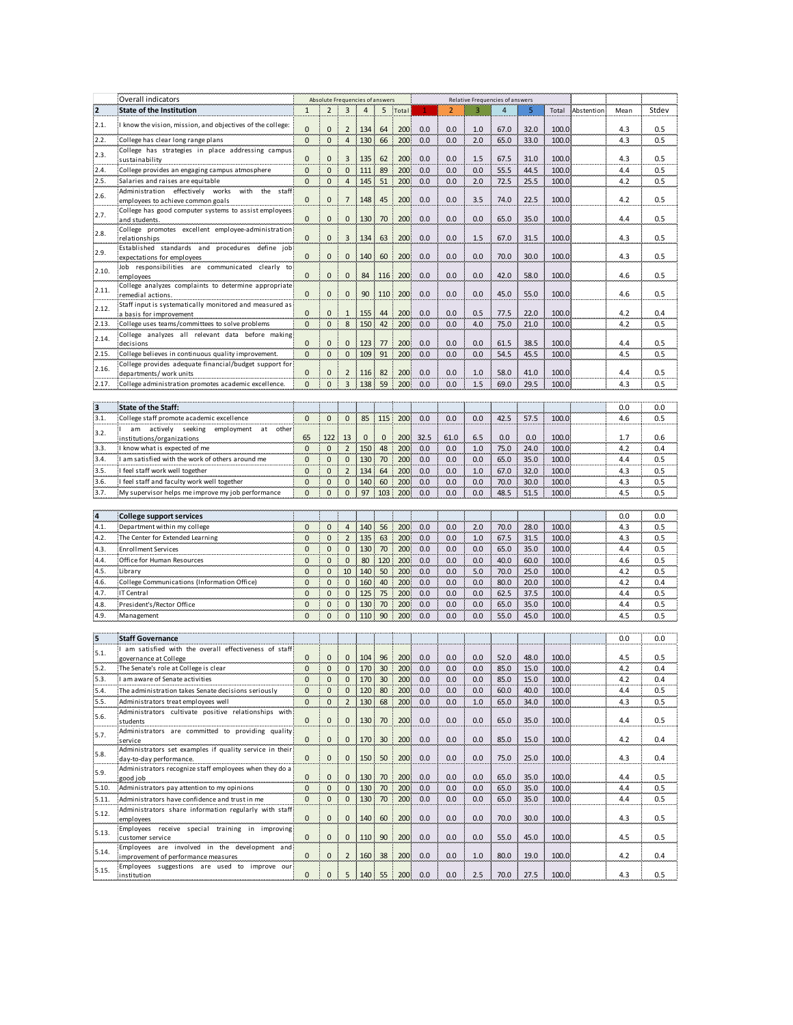|              | Overall indicators                                                                  | Absolute Frequencies of answers |                     |                                       |                |              |       |            | Relative Frequencies of answers |            |                |              |                |            |            |            |
|--------------|-------------------------------------------------------------------------------------|---------------------------------|---------------------|---------------------------------------|----------------|--------------|-------|------------|---------------------------------|------------|----------------|--------------|----------------|------------|------------|------------|
| 2            | <b>State of the Institution</b>                                                     | $\mathbf{1}$                    | $\overline{2}$      | 3                                     | $\overline{4}$ | 5            | Total |            | $\overline{2}$                  | 3          | $\overline{4}$ | 5            | Total          | Abstention | Mean       | Stdev      |
| 2.1.         | know the vision, mission, and objectives of the college:                            |                                 |                     |                                       |                |              |       |            |                                 |            |                |              |                |            |            |            |
|              |                                                                                     | $\mathbf{0}$                    | $\mathbf 0$         | $\overline{2}$                        | 134            | 64           | 200   | 0.0        | 0.0                             | 1.0        | 67.0           | 32.0         | 100.0          |            | 4.3        | 0.5        |
| 2.2.         | College has clear long range plans                                                  | $\mathbf{0}$                    | $\mathbf{0}$        | $\overline{4}$                        | 130            | 66           | 200   | 0.0        | 0.0                             | 2.0        | 65.0           | 33.0         | 100.0          |            | 4.3        | 0.5        |
| 2.3.         | College has strategies in place addressing campus                                   | $\mathbf{0}$                    | $\mathbf{0}$        |                                       |                | 62           | 200   | 0.0        | 0.0                             | 1.5        | 67.5           | 31.0         | 100.0          |            | 4.3        | 0.5        |
| 2.4.         | sustainability                                                                      | $\mathbf{0}$                    | $\mathbf{0}$        | 3<br>$\mathsf 0$                      | 135<br>111     | 89           | 200   | 0.0        | 0.0                             | 0.0        | 55.5           | 44.5         | 100.0          |            | 4.4        | 0.5        |
| 2.5.         | College provides an engaging campus atmosphere<br>Salaries and raises are equitable | $\mathbf{0}$                    | $\mathbf 0$         | $\overline{4}$                        |                | 51           |       | 0.0        | 0.0                             | 2.0        |                |              | 100.0          |            | 4.2        | 0.5        |
|              | Administration effectively works with the staff                                     |                                 |                     |                                       | 145            |              | 200   |            |                                 |            | 72.5           | 25.5         |                |            |            |            |
| 2.6.         | employees to achieve common goals                                                   | $\mathbf 0$                     | $\mathsf{O}\xspace$ | $\overline{7}$                        | 148            | 45           | 200   | 0.0        | 0.0                             | 3.5        | 74.0           | 22.5         | 100.0          |            | 4.2        | 0.5        |
|              | College has good computer systems to assist employees                               |                                 |                     |                                       |                |              |       |            |                                 |            |                |              |                |            |            |            |
| 2.7.         | and students                                                                        | $\mathbf{0}$                    | $\mathbf 0$         | 0                                     | 130            | 70           | 200   | 0.0        | 0.0                             | 0.0        | 65.0           | 35.0         | 100.0          |            | 4.4        | 0.5        |
| 2.8.         | College promotes excellent employee-administration                                  |                                 |                     |                                       |                |              |       |            |                                 |            |                |              |                |            |            |            |
|              | relationships                                                                       | $\mathbf 0$                     | $\mathbf 0$         | 3                                     | 134            | 63           | 200   | 0.0        | 0.0                             | 1.5        | 67.0           | 31.5         | 100.0          |            | 4.3        | 0.5        |
| 2.9.         | Established standards and procedures define job                                     | $\mathbf{0}$                    | $\mathbf{0}$        | $\mathbf 0$                           | 140            | 60           | 200   | 0.0        | 0.0                             | 0.0        | 70.0           | 30.0         | 100.0          |            | 4.3        | 0.5        |
|              | expectations for employees<br>Job responsibilities are communicated clearly to      |                                 |                     |                                       |                |              |       |            |                                 |            |                |              |                |            |            |            |
| 2.10.        | employees                                                                           | $\mathbf{0}$                    | $\pmb{0}$           | 0                                     | 84             | 116          | 200   | 0.0        | 0.0                             | 0.0        | 42.0           | 58.0         | 100.0          |            | 4.6        | 0.5        |
|              | College analyzes complaints to determine appropriate                                |                                 |                     |                                       |                |              |       |            |                                 |            |                |              |                |            |            |            |
| 2.11.        | remedial actions                                                                    | $\mathbf{0}$                    | $\pmb{0}$           | $\mathbf{0}$                          | 90             | 110          | 200   | 0.0        | 0.0                             | 0.0        | 45.0           | 55.0         | 100.0          |            | 4.6        | 0.5        |
| 2.12.        | Staff input is systematically monitored and measured as                             |                                 |                     |                                       |                |              |       |            |                                 |            |                |              |                |            |            |            |
|              | a basis for improvement                                                             | $\mathbf{0}$                    | $\mathbf 0$         | $\mathbf{1}$                          | 155            | 44           | 200   | 0.0        | 0.0                             | 0.5        | 77.5           | 22.0         | 100.0          |            | 4.2        | 0.4        |
| 2.13.        | College uses teams/committees to solve problems                                     | $\mathbf{0}$                    | $\mathbf{0}$        | 8                                     | 150            | 42           | 200   | 0.0        | 0.0                             | 4.0        | 75.0           | 21.0         | 100.0          |            | 4.2        | 0.5        |
| 2.14.        | College analyzes all relevant data before making<br>decisions                       | $\mathbf{0}$                    | $\mathbf{0}$        | $\mathbf 0$                           | 123            | 77           | 200   | 0.0        | 0.0                             | 0.0        | 61.5           | 38.5         | 100.0          |            | 4.4        | 0.5        |
| 2.15.        | College believes in continuous quality improvement.                                 | $\mathbf{0}$                    | $\mathbf 0$         | $\mathbf{0}$                          | 109            | 91           | 200   | 0.0        | 0.0                             | 0.0        | 54.5           | 45.5         | 100.0          |            | 4.5        | 0.5        |
|              | College provides adequate financial/budget support for                              |                                 |                     |                                       |                |              |       |            |                                 |            |                |              |                |            |            |            |
| 2.16.        | departments/ work units                                                             | $\mathbf 0$                     | $\mathbf{0}$        | $\overline{2}$                        | 116            | 82           | 200   | 0.0        | 0.0                             | 1.0        | 58.0           | 41.0         | 100.0          |            | 4.4        | 0.5        |
| 2.17.        | College administration promotes academic excellence.                                | $\mathbf{0}$                    | $\mathbf{0}$        | 3                                     | 138            | 59           | 200   | 0.0        | 0.0                             | 1.5        | 69.0           | 29.5         | 100.0          |            | 4.3        | 0.5        |
|              |                                                                                     |                                 |                     |                                       |                |              |       |            |                                 |            |                |              |                |            |            |            |
| 3            | State of the Staff:                                                                 |                                 |                     |                                       |                |              |       |            |                                 |            |                |              |                |            | 0.0        | 0.0        |
| 3.1.         | College staff promote academic excellence                                           | $\mathbf{0}$                    | $\mathbf{0}$        | $\mathbf 0$                           | 85             | 115          | 200   | 0.0        | 0.0                             | 0.0        | 42.5           | 57.5         | 100.0          |            | 4.6        | 0.5        |
|              | am actively seeking employment at other                                             |                                 |                     |                                       |                |              |       |            |                                 |            |                |              |                |            |            |            |
| 3.2.         | institutions/organizations                                                          | 65                              | 122                 | 13                                    | 0              | $\mathbf{0}$ | 200   | 32.5       | 61.0                            | 6.5        | 0.0            | 0.0          | 100.0          |            | 1.7        | 0.6        |
| 3.3.         | know what is expected of me                                                         | $\mathbf{0}$                    | $\mathbf{0}$        | $\overline{2}$                        | 150            | 48           | 200   | 0.0        | 0.0                             | 1.0        | 75.0           | 24.0         | 100.0          |            | 4.2        | 0.4        |
| 3.4.         | I am satisfied with the work of others around me                                    | $\mathbf{0}$                    | $\mathsf 0$         | $\mathsf 0$                           | 130            | 70           | 200   | 0.0        | 0.0                             | 0.0        | 65.0           | 35.0         | 100.0          |            | 4.4        | 0.5        |
| 3.5.         | feel staff work well together                                                       | $\mathbf{0}$                    | $\mathbf 0$         | $\mathbf 2$                           | 134            | 64           | 200   | 0.0        | 0.0                             | 1.0        | 67.0           | 32.0         | 100.0          |            | 4.3        | 0.5        |
| 3.6.         | feel staff and faculty work well together                                           | $\mathbf{0}$                    | $\mathbf{0}$        | $\mathbf{0}$                          | 140            | 60           | 200   | 0.0        | 0.0                             | 0.0        | 70.0           | 30.0         | 100.0          |            | 4.3        | 0.5        |
| 3.7.         | My supervisor helps me improve my job performance                                   | $\mathbf{0}$                    | $\mathbf{0}$        | $\pmb{0}$                             | 97             | 103          | 200   | 0.0        | 0.0                             | 0.0        | 48.5           | 51.5         | 100.0          |            | 4.5        | 0.5        |
|              |                                                                                     |                                 |                     |                                       |                |              |       |            |                                 |            |                |              |                |            |            |            |
| 4            | <b>College support services</b>                                                     |                                 |                     |                                       |                |              |       |            |                                 |            |                |              |                |            | 0.0        | 0.0        |
| 4.1.         | Department within my college                                                        | $\mathbf 0$                     | $\mathbf{0}$        | $\overline{4}$                        | 140            | 56           | 200   | 0.0        | 0.0                             | 2.0        | 70.0           | 28.0         | 100.0          |            | 4.3        | 0.5        |
| 4.2.         |                                                                                     | $\mathbf{0}$                    | $\mathbf{0}$        |                                       | 135            |              | 200   |            |                                 |            |                |              |                |            |            |            |
| 4.3.         | The Center for Extended Learning<br><b>Enrollment Services</b>                      | $\mathbf 0$                     | $\pmb{0}$           | $\overline{2}$<br>$\mathsf{O}\xspace$ | 130            | 63<br>70     | 200   | 0.0<br>0.0 | 0.0<br>0.0                      | 1.0<br>0.0 | 67.5<br>65.0   | 31.5<br>35.0 | 100.0<br>100.0 |            | 4.3<br>4.4 | 0.5<br>0.5 |
| 4.4.         | Office for Human Resources                                                          | $\mathbf{0}$                    | $\mathbf{0}$        | $\mathsf 0$                           | 80             | 120          | 200   | 0.0        | 0.0                             | 0.0        | 40.0           | 60.0         | 100.0          |            | 4.6        | 0.5        |
| 4.5.         |                                                                                     | $\mathbf{0}$                    | $\mathbf{0}$        |                                       |                |              |       |            |                                 |            |                |              |                |            |            |            |
|              | Library                                                                             |                                 | $\mathbf{0}$        | 10                                    | 140            | 50           | 200   | 0.0        | 0.0                             | 5.0        | 70.0           | 25.0         | 100.0          |            | 4.2        | 0.5        |
| 4.6.<br>4.7. | College Communications (Information Office)                                         | $\mathbf 0$                     |                     | $\mathbf 0$                           | 160            | 40           | 200   | 0.0        | 0.0                             | 0.0        | 80.0           | 20.0         | 100.0          |            | 4.2        | 0.4        |
|              | IT Central                                                                          | $\mathbf{0}$                    | $\mathbf{0}$        | $\pmb{0}$                             | 125            | 75           | 200   | 0.0        | 0.0                             | 0.0        | 62.5           | 37.5         | 100.0          |            | 4.4        | 0.5        |
| 4.8.         | President's/Rector Office                                                           | $\mathbf{0}$                    | $\pmb{0}$           | 0                                     | 130            | 70           | 200   | 0.0        | 0.0                             | 0.0        | 65.0           | 35.0         | 100.0          |            | 4.4        | 0.5        |
| 4.9.         | Management                                                                          | $\mathbf{0}$                    | $\mathbf{0}$        | $\pmb{0}$                             | 110            | 90           | 200   | 0.0        | 0.0                             | 0.0        | 55.0           | 45.0         | 100.0          |            | 4.5        | 0.5        |
|              |                                                                                     |                                 |                     |                                       |                |              |       |            |                                 |            |                |              |                |            |            |            |
| 5            | <b>Staff Governance</b>                                                             |                                 |                     |                                       |                |              |       |            |                                 |            |                |              |                |            | 0.0        | 0.0        |
| 5.1.         | am satisfied with the overall effectiveness of staff                                | 0                               | $\mathbf{0}$        | 0                                     | 104            | 96           | 200   | 0.0        | 0.0                             | 0.0        | 52.0           | 48.0         | 100.0          |            | 4.5        | 0.5        |
| 5.2.         | governance at College                                                               | $\mathbf{0}$                    | $\mathbf 0$         | $\mathbf{0}$                          | 170            | 30           | 200   | 0.0        | 0.0                             | 0.0        | 85.0           | 15.0         | 100.0          |            | 4.2        | 0.4        |
|              | The Senate's role at College is clear                                               |                                 |                     |                                       |                |              |       |            |                                 |            |                |              |                |            |            |            |
| 5.3.         | I am aware of Senate activities                                                     | 0                               | 0                   | 0                                     | 170            | 30           | 200   | 0.0        | 0.0                             | 0.0        | 85.0           | 15.0         | 100.0          |            | 4.2        | 0.4        |
| 5.4.         | The administration takes Senate decisions seriously                                 | $\mathbf{0}$                    | $\mathbf 0$         | $\mathbf 0$                           | 120            | 80           | 200   | 0.0        | 0.0                             | 0.0        | 60.0           | 40.0         | 100.0          |            | 4.4        | 0.5        |
| 5.5.         | Administrators treat employees well                                                 | $\mathbf{0}$                    | $\pmb{0}$           | $\overline{2}$                        | 130            | 68           | 200   | 0.0        | 0.0                             | 1.0        | 65.0           | 34.0         | 100.0          |            | 4.3        | 0.5        |
| 5.6.         | Administrators cultivate positive relationships with<br>students                    | $\mathbf 0$                     | $\mathbf{0}$        | $\mathbf 0$                           | 130            | 70           | 200   | 0.0        | 0.0                             | 0.0        | 65.0           | 35.0         | 100.0          |            | 4.4        | 0.5        |
|              | Administrators are committed to providing quality                                   |                                 |                     |                                       |                |              |       |            |                                 |            |                |              |                |            |            |            |
| 5.7.         | service                                                                             | $\mathbf{0}$                    | $\mathbf 0$         | $\mathbf 0$                           | 170            | 30           | 200   | 0.0        | 0.0                             | 0.0        | 85.0           | 15.0         | 100.0          |            | 4.2        | 0.4        |
|              | Administrators set examples if quality service in their                             |                                 |                     |                                       |                |              |       |            |                                 |            |                |              |                |            |            |            |
| 5.8.         | day-to-day performance.                                                             | $\mathbf 0$                     | $\mathbf 0$         | $\mathbf 0$                           | 150            | 50           | 200   | 0.0        | 0.0                             | 0.0        | 75.0           | 25.0         | 100.0          |            | 4.3        | 0.4        |
| 5.9.         | Administrators recognize staff employees when they do a                             |                                 |                     |                                       |                |              |       |            |                                 |            |                |              |                |            |            |            |
|              | good job                                                                            | $\mathbf{0}$                    | $\mathbf 0$         | $\mathbf{0}$                          | 130            | 70           | 200   | 0.0        | 0.0                             | 0.0        | 65.0           | 35.0         | 100.0          |            | 4.4        | 0.5        |
| 5.10.        | Administrators pay attention to my opinions                                         | $\mathbf{0}$                    | $\pmb{0}$           | $\mathbf 0$                           | 130            | 70           | 200   | 0.0        | 0.0                             | 0.0        | 65.0           | 35.0         | 100.0          |            | 4.4        | 0.5        |
| 5.11.        | Administrators have confidence and trust in me                                      | $\mathbf{0}$                    | $\mathsf{O}\xspace$ | $\mathbf 0$                           | 130            | 70           | 200   | 0.0        | 0.0                             | 0.0        | 65.0           | 35.0         | 100.0          |            | 4.4        | 0.5        |
| 5.12.        | Administrators share information regularly with staff                               |                                 |                     |                                       |                |              |       |            |                                 |            |                |              |                |            |            |            |
|              | employees                                                                           | $\mathbf{0}$                    | $\mathbf 0$         | $\mathbf 0$                           | 140            | 60           | 200   | 0.0        | 0.0                             | 0.0        | 70.0           | 30.0         | 100.0          |            | 4.3        | 0.5        |
| 5.13.        | Employees receive special training in improving<br>customer service                 | $\mathbf 0$                     | $\mathbf{0}$        | $\mathbf 0$                           | 110            | 90           | 200   | 0.0        | 0.0                             | 0.0        | 55.0           | 45.0         | 100.0          |            | 4.5        | 0.5        |
|              | Employees are involved in the development and                                       |                                 |                     |                                       |                |              |       |            |                                 |            |                |              |                |            |            |            |
| 5.14.        | improvement of performance measures                                                 | $\mathbf 0$                     | $\mathbf{0}$        | $\overline{2}$                        | 160            | 38           | 200   | 0.0        | 0.0                             | 1.0        | 80.0           | 19.0         | 100.0          |            | 4.2        | 0.4        |
| 5.15.        | Employees suggestions are used to improve our                                       |                                 |                     |                                       |                |              |       |            |                                 |            |                |              |                |            |            |            |
|              | institution                                                                         | $\mathbf 0$                     | $\mathbf 0$         | 5                                     | 140            | 55           | 200   | 0.0        | 0.0                             | 2.5        | 70.0           | 27.5         | 100.0          |            | 4.3        | 0.5        |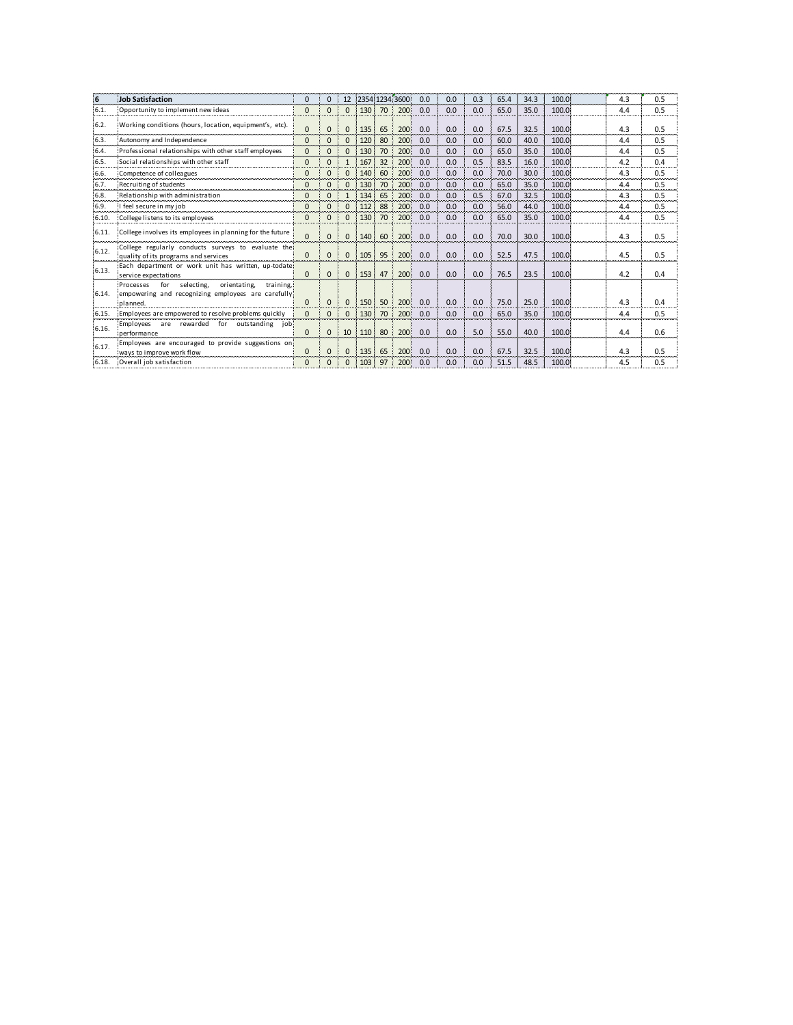| 6     | <b>Job Satisfaction</b>                                                                                                       | $\Omega$     | $\Omega$     | 12           |     |    | 2354 1234 3600 | 0.0 | 0.0 | 0.3 | 65.4 | 34.3 | 100.0 | 4.3 | 0.5 |
|-------|-------------------------------------------------------------------------------------------------------------------------------|--------------|--------------|--------------|-----|----|----------------|-----|-----|-----|------|------|-------|-----|-----|
| 6.1.  | Opportunity to implement new ideas                                                                                            | $\Omega$     | $\Omega$     | $\Omega$     | 130 | 70 | 200            | 0.0 | 0.0 | 0.0 | 65.0 | 35.0 | 100.0 | 4.4 | 0.5 |
| 6.2.  | Working conditions (hours, location, equipment's, etc).                                                                       | $\mathbf{0}$ | $\mathbf{0}$ | $\Omega$     | 135 | 65 | 200            | 0.0 | 0.0 | 0.0 | 67.5 | 32.5 | 100.0 | 4.3 | 0.5 |
| 6.3.  | Autonomy and Independence                                                                                                     | $\Omega$     | $\Omega$     | $\Omega$     | 120 | 80 | 200            | 0.0 | 0.0 | 0.0 | 60.0 | 40.0 | 100.0 | 4.4 | 0.5 |
| 6.4.  | Professional relationships with other staff employees                                                                         | $\Omega$     | $\Omega$     | $\Omega$     | 130 | 70 | 200            | 0.0 | 0.0 | 0.0 | 65.0 | 35.0 | 100.0 | 4.4 | 0.5 |
| 6.5.  | Social relationships with other staff                                                                                         | $\Omega$     | $\mathbf{0}$ | $\mathbf{1}$ | 167 | 32 | 200            | 0.0 | 0.0 | 0.5 | 83.5 | 16.0 | 100.0 | 4.2 | 0.4 |
| 6.6.  | Competence of colleagues                                                                                                      |              | $\mathbf{0}$ | $\Omega$     | 140 | 60 | 200            | 0.0 | 0.0 | 0.0 | 70.0 | 30.0 | 100.0 | 4.3 | 0.5 |
| 6.7.  | Recruiting of students                                                                                                        | $\mathbf{0}$ | $\mathbf{0}$ | $\Omega$     | 130 | 70 | 200            | 0.0 | 0.0 | 0.0 | 65.0 | 35.0 | 100.0 | 4.4 | 0.5 |
| 6.8.  | Relationship with administration                                                                                              |              | $\Omega$     | $\mathbf{1}$ | 134 | 65 | 200            | 0.0 | 0.0 | 0.5 | 67.0 | 32.5 | 100.0 | 4.3 | 0.5 |
| 6.9.  | feel secure in my job                                                                                                         |              | $\Omega$     | $\Omega$     | 112 | 88 | 200            | 0.0 | 0.0 | 0.0 | 56.0 | 44.0 | 100.0 | 4.4 | 0.5 |
| 6.10. | College listens to its employees                                                                                              |              | $\mathbf{0}$ | $\Omega$     | 130 | 70 | 200            | 0.0 | 0.0 | 0.0 | 65.0 | 35.0 | 100.0 | 4.4 | 0.5 |
| 6.11. | College involves its employees in planning for the future                                                                     | $\Omega$     | $\mathbf{0}$ | $\Omega$     | 140 | 60 | 200            | 0.0 | 0.0 | 0.0 | 70.0 | 30.0 | 100.0 | 4.3 | 0.5 |
| 6.12. | College regularly conducts surveys to evaluate the<br>quality of its programs and services                                    | $\Omega$     | $\mathbf{0}$ | $\Omega$     | 105 | 95 | 200            | 0.0 | 0.0 | 0.0 | 52.5 | 47.5 | 100.0 | 4.5 | 0.5 |
| 6.13. | Each department or work unit has written, up-todate<br>service expectations                                                   | $\Omega$     | $\Omega$     | $\Omega$     | 153 | 47 | 200            | 0.0 | 0.0 | 0.0 | 76.5 | 23.5 | 100.0 | 4.2 | 0.4 |
| 6.14. | Processes<br>for<br>selecting.<br>orientating.<br>training.<br>empowering and recognizing employees are carefully<br>planned. | $\Omega$     | $\mathbf{0}$ | $\Omega$     | 150 | 50 | 200            | 0.0 | 0.0 | 0.0 | 75.0 | 25.0 | 100.0 | 4.3 | 0.4 |
| 6.15. | Employees are empowered to resolve problems quickly                                                                           | $\Omega$     | $\mathbf{0}$ | $\Omega$     | 130 | 70 | 200            | 0.0 | 0.0 | 0.0 | 65.0 | 35.0 | 100.0 | 4.4 | 0.5 |
| 6.16. | Employees<br>are rewarded for outstanding job<br>performance                                                                  | $\Omega$     | $\mathbf{0}$ | 10           | 110 | 80 | 200            | 0.0 | 0.0 | 5.0 | 55.0 | 40.0 | 100.0 | 4.4 | 0.6 |
| 6.17. | Employees are encouraged to provide suggestions on<br>ways to improve work flow                                               | $\Omega$     | $\mathbf{0}$ | $\Omega$     | 135 | 65 | 200            | 0.0 | 0.0 | 0.0 | 67.5 | 32.5 | 100.0 | 4.3 | 0.5 |
| 6.18. | Overall job satisfaction                                                                                                      | $\Omega$     | $\Omega$     | $\Omega$     | 103 | 97 | 200            | 0.0 | 0.0 | 0.0 | 51.5 | 48.5 | 100.0 | 4.5 | 0.5 |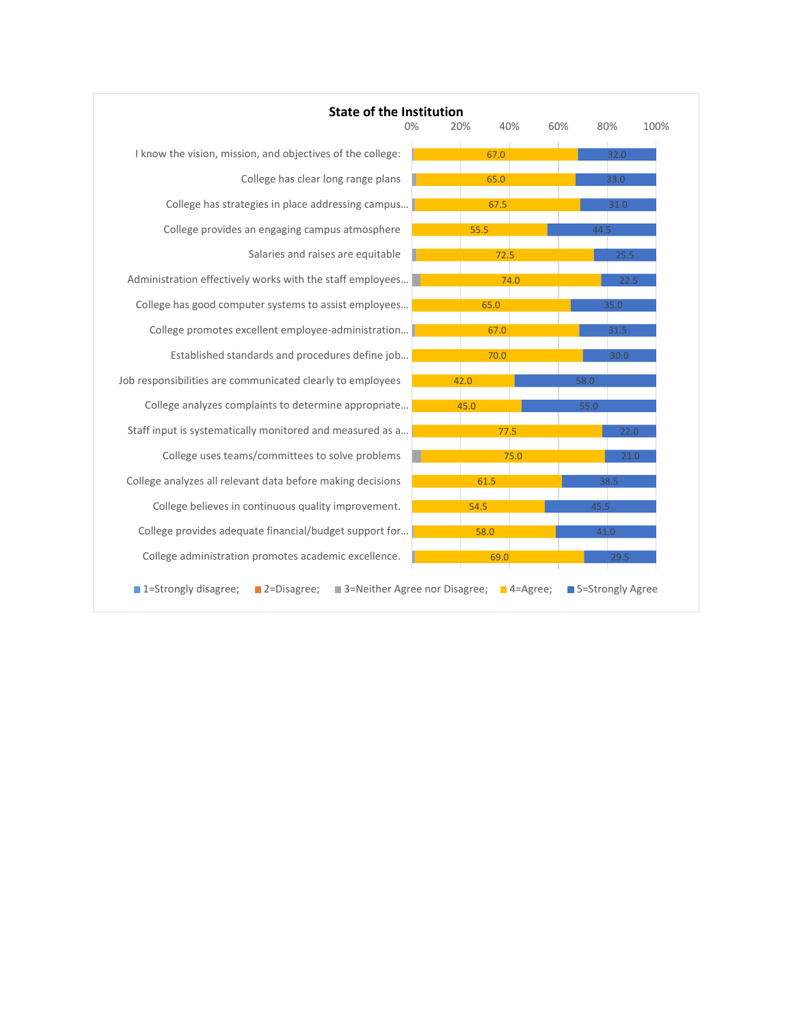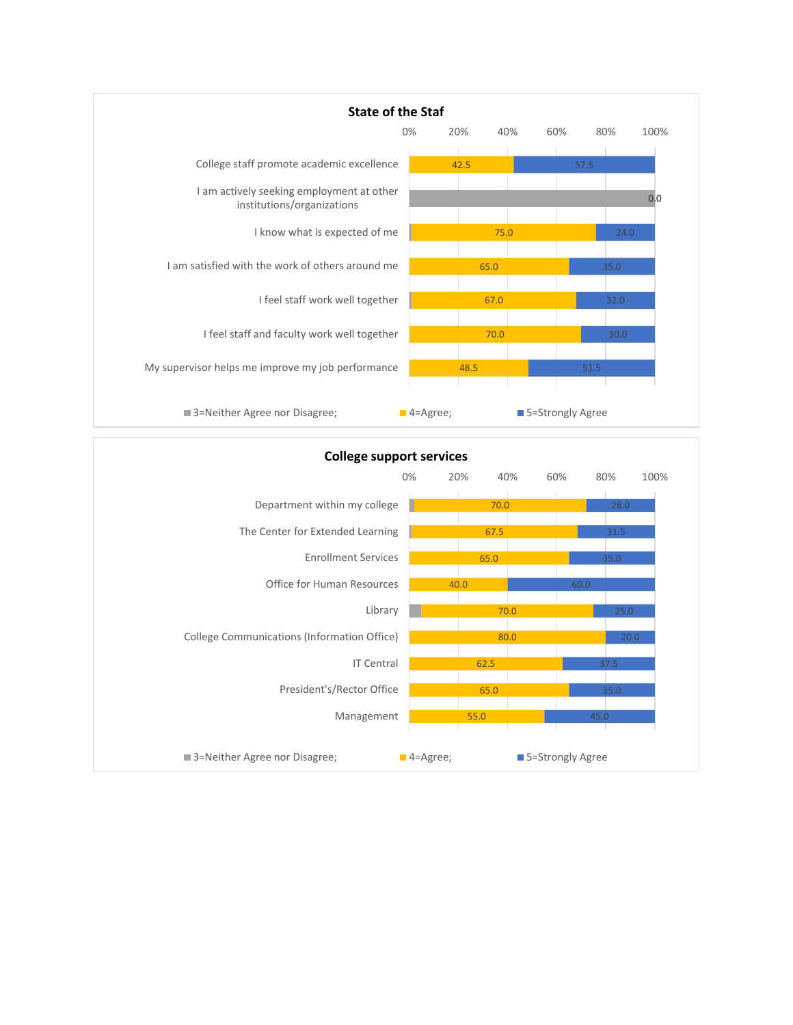

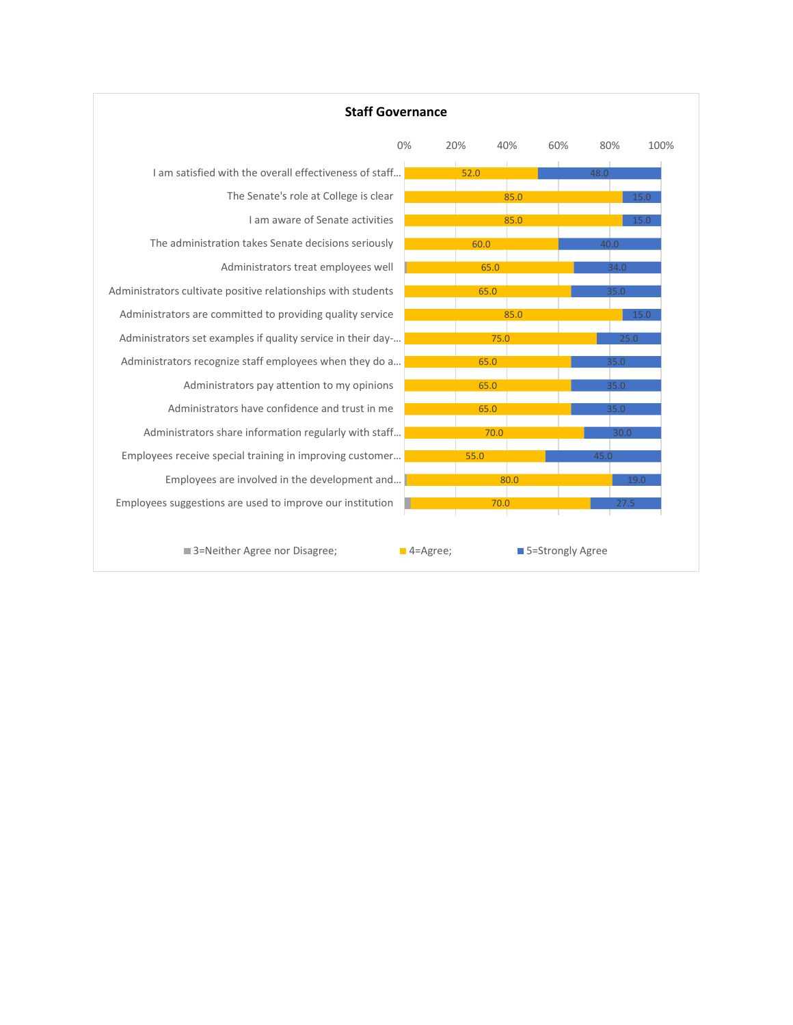